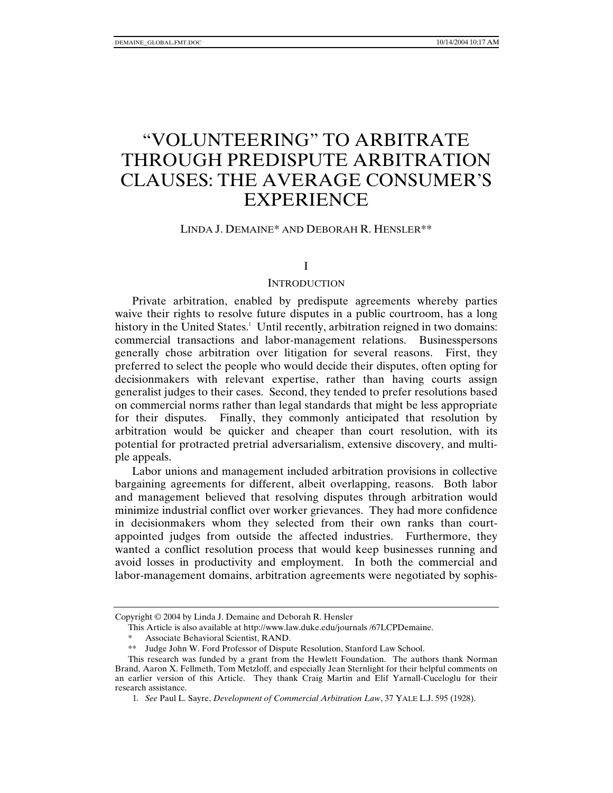# "VOLUNTEERING" TO ARBITRATE THROUGH PREDISPUTE ARBITRATION CLAUSES: THE AVERAGE CONSUMER'S EXPERIENCE

#### LINDA J. DEMAINE\* AND DEBORAH R. HENSLER\*\*

#### I

#### **INTRODUCTION**

Private arbitration, enabled by predispute agreements whereby parties waive their rights to resolve future disputes in a public courtroom, has a long history in the United States.<sup>1</sup> Until recently, arbitration reigned in two domains: commercial transactions and labor-management relations. Businesspersons generally chose arbitration over litigation for several reasons. First, they preferred to select the people who would decide their disputes, often opting for decisionmakers with relevant expertise, rather than having courts assign generalist judges to their cases. Second, they tended to prefer resolutions based on commercial norms rather than legal standards that might be less appropriate for their disputes. Finally, they commonly anticipated that resolution by arbitration would be quicker and cheaper than court resolution, with its potential for protracted pretrial adversarialism, extensive discovery, and multiple appeals.

Labor unions and management included arbitration provisions in collective bargaining agreements for different, albeit overlapping, reasons. Both labor and management believed that resolving disputes through arbitration would minimize industrial conflict over worker grievances. They had more confidence in decisionmakers whom they selected from their own ranks than courtappointed judges from outside the affected industries. Furthermore, they wanted a conflict resolution process that would keep businesses running and avoid losses in productivity and employment. In both the commercial and labor-management domains, arbitration agreements were negotiated by sophis-

Copyright © 2004 by Linda J. Demaine and Deborah R. Hensler

This Article is also available at http://www.law.duke.edu/journals /67LCPDemaine.

Associate Behavioral Scientist, RAND.

<sup>\*\*</sup> Judge John W. Ford Professor of Dispute Resolution, Stanford Law School.

This research was funded by a grant from the Hewlett Foundation. The authors thank Norman Brand, Aaron X. Fellmeth, Tom Metzloff, and especially Jean Sternlight for their helpful comments on an earlier version of this Article. They thank Craig Martin and Elif Yarnall-Cuceloglu for their research assistance.

<sup>1</sup>*. See* Paul L. Sayre, *Development of Commercial Arbitration Law*, 37 YALE L.J. 595 (1928).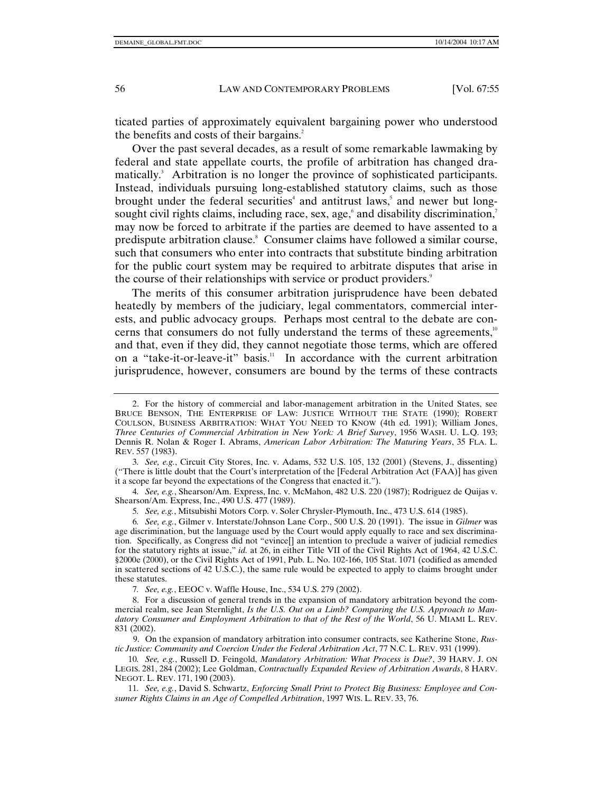ticated parties of approximately equivalent bargaining power who understood the benefits and costs of their bargains.<sup>2</sup>

Over the past several decades, as a result of some remarkable lawmaking by federal and state appellate courts, the profile of arbitration has changed dramatically.<sup>3</sup> Arbitration is no longer the province of sophisticated participants. Instead, individuals pursuing long-established statutory claims, such as those brought under the federal securities<sup>4</sup> and antitrust laws,<sup>5</sup> and newer but longsought civil rights claims, including race, sex, age, and disability discrimination, $\overline{\phantom{a}}$ may now be forced to arbitrate if the parties are deemed to have assented to a predispute arbitration clause.<sup>8</sup> Consumer claims have followed a similar course, such that consumers who enter into contracts that substitute binding arbitration for the public court system may be required to arbitrate disputes that arise in the course of their relationships with service or product providers.<sup>9</sup>

The merits of this consumer arbitration jurisprudence have been debated heatedly by members of the judiciary, legal commentators, commercial interests, and public advocacy groups. Perhaps most central to the debate are concerns that consumers do not fully understand the terms of these agreements,<sup>10</sup> and that, even if they did, they cannot negotiate those terms, which are offered on a "take-it-or-leave-it" basis. $11$  In accordance with the current arbitration jurisprudence, however, consumers are bound by the terms of these contracts

3*. See, e.g.*, Circuit City Stores, Inc. v. Adams, 532 U.S. 105, 132 (2001) (Stevens, J., dissenting) ("There is little doubt that the Court's interpretation of the [Federal Arbitration Act (FAA)] has given it a scope far beyond the expectations of the Congress that enacted it.").

4*. See, e.g.*, Shearson/Am. Express, Inc. v. McMahon, 482 U.S. 220 (1987); Rodriguez de Quijas v. Shearson/Am. Express, Inc., 490 U.S. 477 (1989).

5*. See, e.g.*, Mitsubishi Motors Corp. v. Soler Chrysler-Plymouth, Inc., 473 U.S. 614 (1985).

6*. See, e.g.*, Gilmer v. Interstate/Johnson Lane Corp., 500 U.S. 20 (1991). The issue in *Gilmer* was age discrimination, but the language used by the Court would apply equally to race and sex discrimination. Specifically, as Congress did not "evince[] an intention to preclude a waiver of judicial remedies for the statutory rights at issue," *id.* at 26, in either Title VII of the Civil Rights Act of 1964, 42 U.S.C. §2000e (2000), or the Civil Rights Act of 1991, Pub. L. No. 102-166, 105 Stat. 1071 (codified as amended in scattered sections of 42 U.S.C.), the same rule would be expected to apply to claims brought under these statutes.

 8. For a discussion of general trends in the expansion of mandatory arbitration beyond the commercial realm, see Jean Sternlight, *Is the U.S. Out on a Limb? Comparing the U.S. Approach to Mandatory Consumer and Employment Arbitration to that of the Rest of the World*, 56 U. MIAMI L. REV. 831 (2002).

 9. On the expansion of mandatory arbitration into consumer contracts, see Katherine Stone, *Rustic Justice: Community and Coercion Under the Federal Arbitration Act*, 77 N.C. L. REV. 931 (1999).

10*. See, e.g.*, Russell D. Feingold, *Mandatory Arbitration: What Process is Due?*, 39 HARV. J. ON LEGIS. 281, 284 (2002); Lee Goldman, *Contractually Expanded Review of Arbitration Awards*, 8 HARV. NEGOT. L. REV. 171, 190 (2003).

11*. See, e.g.*, David S. Schwartz, *Enforcing Small Print to Protect Big Business: Employee and Consumer Rights Claims in an Age of Compelled Arbitration*, 1997 WIS. L. REV. 33, 76.

 <sup>2.</sup> For the history of commercial and labor-management arbitration in the United States, see BRUCE BENSON, THE ENTERPRISE OF LAW: JUSTICE WITHOUT THE STATE (1990); ROBERT COULSON, BUSINESS ARBITRATION: WHAT YOU NEED TO KNOW (4th ed. 1991); William Jones, *Three Centuries of Commercial Arbitration in New York: A Brief Survey*, 1956 WASH. U. L.Q. 193; Dennis R. Nolan & Roger I. Abrams, *American Labor Arbitration: The Maturing Years*, 35 FLA. L. REV. 557 (1983).

<sup>7</sup>*. See, e.g.*, EEOC v. Waffle House, Inc., 534 U.S. 279 (2002).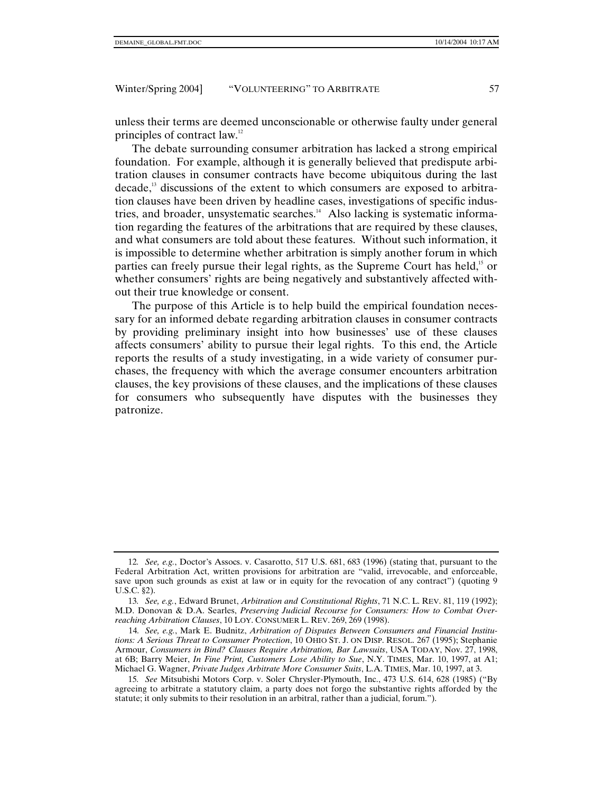unless their terms are deemed unconscionable or otherwise faulty under general principles of contract law.12

The debate surrounding consumer arbitration has lacked a strong empirical foundation. For example, although it is generally believed that predispute arbitration clauses in consumer contracts have become ubiquitous during the last decade,13 discussions of the extent to which consumers are exposed to arbitration clauses have been driven by headline cases, investigations of specific industries, and broader, unsystematic searches.<sup>14</sup> Also lacking is systematic information regarding the features of the arbitrations that are required by these clauses, and what consumers are told about these features. Without such information, it is impossible to determine whether arbitration is simply another forum in which parties can freely pursue their legal rights, as the Supreme Court has held,<sup>15</sup> or whether consumers' rights are being negatively and substantively affected without their true knowledge or consent.

The purpose of this Article is to help build the empirical foundation necessary for an informed debate regarding arbitration clauses in consumer contracts by providing preliminary insight into how businesses' use of these clauses affects consumers' ability to pursue their legal rights. To this end, the Article reports the results of a study investigating, in a wide variety of consumer purchases, the frequency with which the average consumer encounters arbitration clauses, the key provisions of these clauses, and the implications of these clauses for consumers who subsequently have disputes with the businesses they patronize.

<sup>12</sup>*. See, e.g.*, Doctor's Assocs. v. Casarotto, 517 U.S. 681, 683 (1996) (stating that, pursuant to the Federal Arbitration Act, written provisions for arbitration are "valid, irrevocable, and enforceable, save upon such grounds as exist at law or in equity for the revocation of any contract") (quoting 9 U.S.C. §2).

<sup>13</sup>*. See, e.g.*, Edward Brunet, *Arbitration and Constitutional Rights*, 71 N.C. L. REV. 81, 119 (1992); M.D. Donovan & D.A. Searles, *Preserving Judicial Recourse for Consumers: How to Combat Overreaching Arbitration Clauses*, 10 LOY. CONSUMER L. REV. 269, 269 (1998).

<sup>14</sup>*. See, e.g.*, Mark E. Budnitz, *Arbitration of Disputes Between Consumers and Financial Institutions: A Serious Threat to Consumer Protection*, 10 OHIO ST. J. ON DISP. RESOL. 267 (1995); Stephanie Armour, *Consumers in Bind? Clauses Require Arbitration, Bar Lawsuits*, USA TODAY, Nov. 27, 1998, at 6B; Barry Meier, *In Fine Print, Customers Lose Ability to Sue*, N.Y. TIMES, Mar. 10, 1997, at A1; Michael G. Wagner, *Private Judges Arbitrate More Consumer Suits*, L.A. TIMES, Mar. 10, 1997, at 3.

<sup>15</sup>*. See* Mitsubishi Motors Corp. v. Soler Chrysler-Plymouth, Inc., 473 U.S. 614, 628 (1985) ("By agreeing to arbitrate a statutory claim, a party does not forgo the substantive rights afforded by the statute; it only submits to their resolution in an arbitral, rather than a judicial, forum.").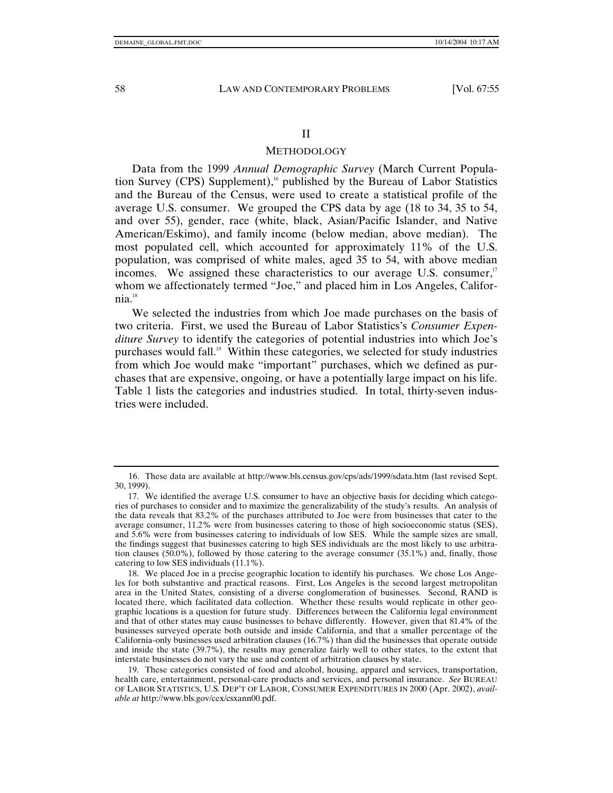#### II

#### METHODOLOGY

Data from the 1999 *Annual Demographic Survey* (March Current Population Survey (CPS) Supplement),<sup>16</sup> published by the Bureau of Labor Statistics and the Bureau of the Census, were used to create a statistical profile of the average U.S. consumer. We grouped the CPS data by age (18 to 34, 35 to 54, and over 55), gender, race (white, black, Asian/Pacific Islander, and Native American/Eskimo), and family income (below median, above median). The most populated cell, which accounted for approximately 11% of the U.S. population, was comprised of white males, aged 35 to 54, with above median incomes. We assigned these characteristics to our average U.S. consumer, $17$ whom we affectionately termed "Joe," and placed him in Los Angeles, California.18

We selected the industries from which Joe made purchases on the basis of two criteria. First, we used the Bureau of Labor Statistics's *Consumer Expenditure Survey* to identify the categories of potential industries into which Joe's purchases would fall.<sup>19</sup> Within these categories, we selected for study industries from which Joe would make "important" purchases, which we defined as purchases that are expensive, ongoing, or have a potentially large impact on his life. Table 1 lists the categories and industries studied. In total, thirty-seven industries were included.

 <sup>16.</sup> These data are available at http://www.bls.census.gov/cps/ads/1999/sdata.htm (last revised Sept. 30, 1999).

 <sup>17.</sup> We identified the average U.S. consumer to have an objective basis for deciding which categories of purchases to consider and to maximize the generalizability of the study's results. An analysis of the data reveals that 83.2% of the purchases attributed to Joe were from businesses that cater to the average consumer, 11.2% were from businesses catering to those of high socioeconomic status (SES), and 5.6% were from businesses catering to individuals of low SES. While the sample sizes are small, the findings suggest that businesses catering to high SES individuals are the most likely to use arbitration clauses (50.0%), followed by those catering to the average consumer (35.1%) and, finally, those catering to low SES individuals (11.1%).

 <sup>18.</sup> We placed Joe in a precise geographic location to identify his purchases. We chose Los Angeles for both substantive and practical reasons. First, Los Angeles is the second largest metropolitan area in the United States, consisting of a diverse conglomeration of businesses. Second, RAND is located there, which facilitated data collection. Whether these results would replicate in other geographic locations is a question for future study. Differences between the California legal environment and that of other states may cause businesses to behave differently. However, given that 81.4% of the businesses surveyed operate both outside and inside California, and that a smaller percentage of the California-only businesses used arbitration clauses (16.7%) than did the businesses that operate outside and inside the state (39.7%), the results may generalize fairly well to other states, to the extent that interstate businesses do not vary the use and content of arbitration clauses by state.

 <sup>19.</sup> These categories consisted of food and alcohol, housing, apparel and services, transportation, health care, entertainment, personal-care products and services, and personal insurance. *See* BUREAU OF LABOR STATISTICS, U.S. DEP'T OF LABOR, CONSUMER EXPENDITURES IN 2000 (Apr. 2002), *available at* http://www.bls.gov/cex/csxann00.pdf.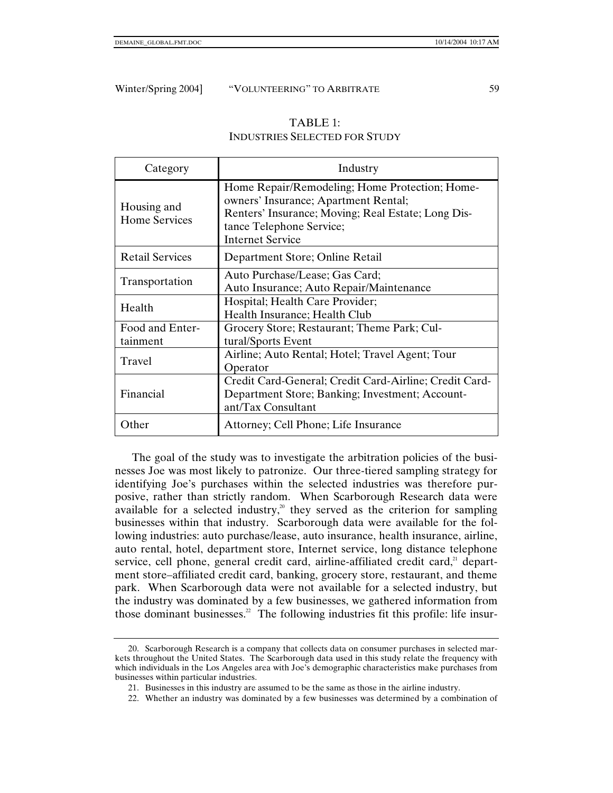| TABLE 1:                             |
|--------------------------------------|
| <b>INDUSTRIES SELECTED FOR STUDY</b> |

| Category                            | Industry                                                                                                                                                                                            |
|-------------------------------------|-----------------------------------------------------------------------------------------------------------------------------------------------------------------------------------------------------|
| Housing and<br><b>Home Services</b> | Home Repair/Remodeling; Home Protection; Home-<br>owners' Insurance; Apartment Rental;<br>Renters' Insurance; Moving; Real Estate; Long Dis-<br>tance Telephone Service;<br><b>Internet Service</b> |
| <b>Retail Services</b>              | Department Store; Online Retail                                                                                                                                                                     |
| Transportation                      | Auto Purchase/Lease; Gas Card;<br>Auto Insurance; Auto Repair/Maintenance                                                                                                                           |
| Health                              | Hospital; Health Care Provider;<br>Health Insurance; Health Club                                                                                                                                    |
| Food and Enter-<br>tainment         | Grocery Store; Restaurant; Theme Park; Cul-<br>tural/Sports Event                                                                                                                                   |
| Travel                              | Airline; Auto Rental; Hotel; Travel Agent; Tour<br>Operator                                                                                                                                         |
| Financial                           | Credit Card-General; Credit Card-Airline; Credit Card-<br>Department Store; Banking; Investment; Account-<br>ant/Tax Consultant                                                                     |
| Other                               | Attorney; Cell Phone; Life Insurance                                                                                                                                                                |

The goal of the study was to investigate the arbitration policies of the businesses Joe was most likely to patronize. Our three-tiered sampling strategy for identifying Joe's purchases within the selected industries was therefore purposive, rather than strictly random. When Scarborough Research data were available for a selected industry, $20$  they served as the criterion for sampling businesses within that industry. Scarborough data were available for the following industries: auto purchase/lease, auto insurance, health insurance, airline, auto rental, hotel, department store, Internet service, long distance telephone service, cell phone, general credit card, airline-affiliated credit card, $21$  department store–affiliated credit card, banking, grocery store, restaurant, and theme park. When Scarborough data were not available for a selected industry, but the industry was dominated by a few businesses, we gathered information from those dominant businesses.<sup>22</sup> The following industries fit this profile: life insur-

 <sup>20.</sup> Scarborough Research is a company that collects data on consumer purchases in selected markets throughout the United States. The Scarborough data used in this study relate the frequency with which individuals in the Los Angeles area with Joe's demographic characteristics make purchases from businesses within particular industries.

 <sup>21.</sup> Businesses in this industry are assumed to be the same as those in the airline industry.

 <sup>22.</sup> Whether an industry was dominated by a few businesses was determined by a combination of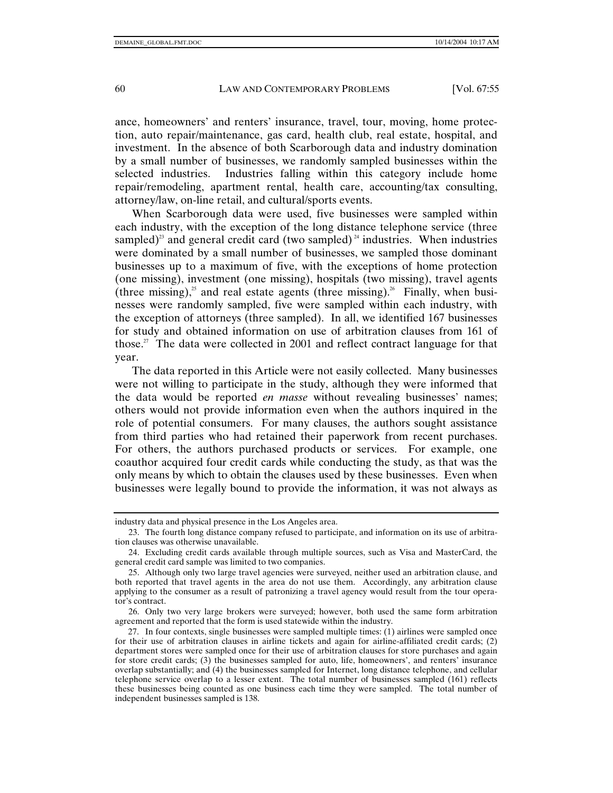ance, homeowners' and renters' insurance, travel, tour, moving, home protection, auto repair/maintenance, gas card, health club, real estate, hospital, and investment. In the absence of both Scarborough data and industry domination by a small number of businesses, we randomly sampled businesses within the selected industries. Industries falling within this category include home repair/remodeling, apartment rental, health care, accounting/tax consulting, attorney/law, on-line retail, and cultural/sports events.

When Scarborough data were used, five businesses were sampled within each industry, with the exception of the long distance telephone service (three sampled)<sup>23</sup> and general credit card (two sampled)<sup>24</sup> industries. When industries were dominated by a small number of businesses, we sampled those dominant businesses up to a maximum of five, with the exceptions of home protection (one missing), investment (one missing), hospitals (two missing), travel agents (three missing),<sup>25</sup> and real estate agents (three missing).<sup>26</sup> Finally, when businesses were randomly sampled, five were sampled within each industry, with the exception of attorneys (three sampled). In all, we identified 167 businesses for study and obtained information on use of arbitration clauses from 161 of those.<sup>27</sup> The data were collected in 2001 and reflect contract language for that year.

The data reported in this Article were not easily collected. Many businesses were not willing to participate in the study, although they were informed that the data would be reported *en masse* without revealing businesses' names; others would not provide information even when the authors inquired in the role of potential consumers. For many clauses, the authors sought assistance from third parties who had retained their paperwork from recent purchases. For others, the authors purchased products or services. For example, one coauthor acquired four credit cards while conducting the study, as that was the only means by which to obtain the clauses used by these businesses. Even when businesses were legally bound to provide the information, it was not always as

industry data and physical presence in the Los Angeles area.

 <sup>23.</sup> The fourth long distance company refused to participate, and information on its use of arbitration clauses was otherwise unavailable.

 <sup>24.</sup> Excluding credit cards available through multiple sources, such as Visa and MasterCard, the general credit card sample was limited to two companies.

 <sup>25.</sup> Although only two large travel agencies were surveyed, neither used an arbitration clause, and both reported that travel agents in the area do not use them. Accordingly, any arbitration clause applying to the consumer as a result of patronizing a travel agency would result from the tour operator's contract.

 <sup>26.</sup> Only two very large brokers were surveyed; however, both used the same form arbitration agreement and reported that the form is used statewide within the industry.

 <sup>27.</sup> In four contexts, single businesses were sampled multiple times: (1) airlines were sampled once for their use of arbitration clauses in airline tickets and again for airline-affiliated credit cards; (2) department stores were sampled once for their use of arbitration clauses for store purchases and again for store credit cards; (3) the businesses sampled for auto, life, homeowners', and renters' insurance overlap substantially; and (4) the businesses sampled for Internet, long distance telephone, and cellular telephone service overlap to a lesser extent. The total number of businesses sampled (161) reflects these businesses being counted as one business each time they were sampled. The total number of independent businesses sampled is 138.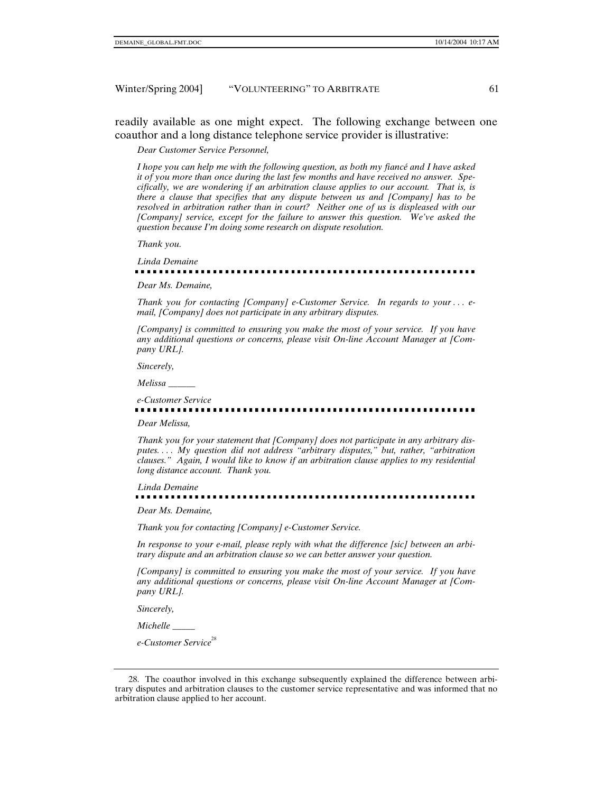readily available as one might expect. The following exchange between one coauthor and a long distance telephone service provider is illustrative:

*Dear Customer Service Personnel,* 

*I hope you can help me with the following question, as both my fiancé and I have asked it of you more than once during the last few months and have received no answer. Specifically, we are wondering if an arbitration clause applies to our account. That is, is there a clause that specifies that any dispute between us and [Company] has to be resolved in arbitration rather than in court? Neither one of us is displeased with our [Company] service, except for the failure to answer this question. We've asked the question because I'm doing some research on dispute resolution.* 

*Thank you.* 

*Linda Demaine* 

#### . . . . . . . . . . . . .

*Dear Ms. Demaine,* 

*Thank you for contacting [Company] e-Customer Service. In regards to your . . . email, [Company] does not participate in any arbitrary disputes.* 

*[Company] is committed to ensuring you make the most of your service. If you have any additional questions or concerns, please visit On-line Account Manager at [Company URL].* 

*Sincerely,* 

*Melissa \_\_\_\_\_\_* 

## *e-Customer Service*

*Dear Melissa,* 

*Thank you for your statement that [Company] does not participate in any arbitrary disputes. . . . My question did not address "arbitrary disputes," but, rather, "arbitration clauses." Again, I would like to know if an arbitration clause applies to my residential long distance account. Thank you.* 

*Linda Demaine*  -------------------------------------

*Dear Ms. Demaine,* 

*Thank you for contacting [Company] e-Customer Service.* 

*In response to your e-mail, please reply with what the difference [sic] between an arbitrary dispute and an arbitration clause so we can better answer your question.* 

*[Company] is committed to ensuring you make the most of your service. If you have any additional questions or concerns, please visit On-line Account Manager at [Company URL].* 

*Sincerely,* 

*Michelle \_\_\_\_\_* 

*e-Customer Service*<sup>28</sup>

 <sup>28.</sup> The coauthor involved in this exchange subsequently explained the difference between arbitrary disputes and arbitration clauses to the customer service representative and was informed that no arbitration clause applied to her account.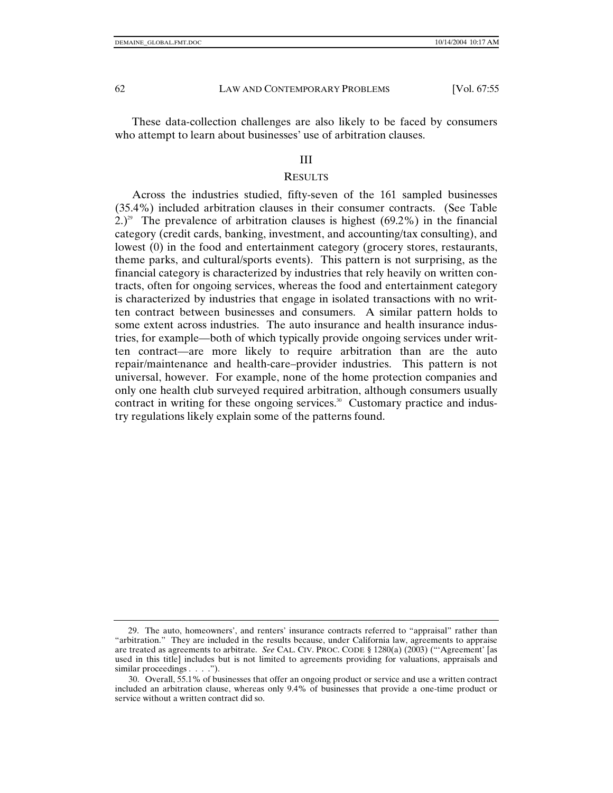These data-collection challenges are also likely to be faced by consumers who attempt to learn about businesses' use of arbitration clauses.

#### III

#### **RESULTS**

Across the industries studied, fifty-seven of the 161 sampled businesses (35.4%) included arbitration clauses in their consumer contracts. (See Table 2.)<sup>29</sup> The prevalence of arbitration clauses is highest (69.2%) in the financial category (credit cards, banking, investment, and accounting/tax consulting), and lowest (0) in the food and entertainment category (grocery stores, restaurants, theme parks, and cultural/sports events). This pattern is not surprising, as the financial category is characterized by industries that rely heavily on written contracts, often for ongoing services, whereas the food and entertainment category is characterized by industries that engage in isolated transactions with no written contract between businesses and consumers. A similar pattern holds to some extent across industries. The auto insurance and health insurance industries, for example—both of which typically provide ongoing services under written contract—are more likely to require arbitration than are the auto repair/maintenance and health-care–provider industries. This pattern is not universal, however. For example, none of the home protection companies and only one health club surveyed required arbitration, although consumers usually contract in writing for these ongoing services. $30$  Customary practice and industry regulations likely explain some of the patterns found.

 <sup>29.</sup> The auto, homeowners', and renters' insurance contracts referred to "appraisal" rather than "arbitration." They are included in the results because, under California law, agreements to appraise are treated as agreements to arbitrate. *See* CAL. CIV. PROC. CODE § 1280(a) (2003) ("'Agreement' [as used in this title] includes but is not limited to agreements providing for valuations, appraisals and similar proceedings . . . .").

 <sup>30.</sup> Overall, 55.1% of businesses that offer an ongoing product or service and use a written contract included an arbitration clause, whereas only 9.4% of businesses that provide a one-time product or service without a written contract did so.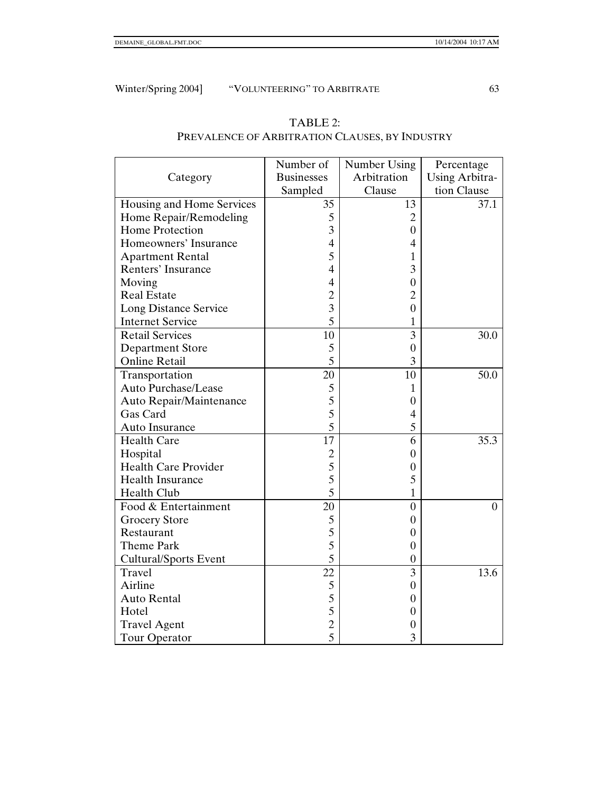|                              | Number of         | Number Using   | Percentage            |
|------------------------------|-------------------|----------------|-----------------------|
| Category                     | <b>Businesses</b> | Arbitration    | <b>Using Arbitra-</b> |
|                              | Sampled           | Clause         | tion Clause           |
| Housing and Home Services    | 35                | 13             | 37.1                  |
| Home Repair/Remodeling       | 5                 | 2              |                       |
| <b>Home Protection</b>       | 3                 | $\overline{0}$ |                       |
| Homeowners' Insurance        | $\overline{4}$    | 4              |                       |
| <b>Apartment Rental</b>      | 5                 | 1              |                       |
| <b>Renters' Insurance</b>    | $\overline{4}$    | 3              |                       |
| Moving                       | $\overline{4}$    | $\overline{0}$ |                       |
| <b>Real Estate</b>           | $\overline{c}$    | $\overline{c}$ |                       |
| Long Distance Service        | $\overline{3}$    | $\overline{0}$ |                       |
| <b>Internet Service</b>      | 5                 | 1              |                       |
| <b>Retail Services</b>       | 10                | 3              | 30.0                  |
| <b>Department Store</b>      | 5                 | $\overline{0}$ |                       |
| <b>Online Retail</b>         | 5                 | 3              |                       |
| Transportation               | 20                | 10             | 50.0                  |
| Auto Purchase/Lease          | 5                 | 1              |                       |
| Auto Repair/Maintenance      | 5                 | $\overline{0}$ |                       |
| Gas Card                     | 5                 | 4              |                       |
| Auto Insurance               | 5                 | 5              |                       |
| <b>Health Care</b>           | 17                | 6              | 35.3                  |
| Hospital                     | $\overline{c}$    | $\overline{0}$ |                       |
| <b>Health Care Provider</b>  | 5                 | $\overline{0}$ |                       |
| <b>Health Insurance</b>      | 5                 | 5              |                       |
| Health Club                  | 5                 | 1              |                       |
| Food & Entertainment         | 20                | $\overline{0}$ | $\overline{0}$        |
| <b>Grocery Store</b>         | 5                 | $\overline{0}$ |                       |
| Restaurant                   | 5                 | $\overline{0}$ |                       |
| Theme Park                   | 5                 | $\overline{0}$ |                       |
| <b>Cultural/Sports Event</b> | 5                 | $\overline{0}$ |                       |
| Travel                       | 22                | 3              | 13.6                  |
| Airline                      | 5                 | $\overline{0}$ |                       |
| <b>Auto Rental</b>           | 5                 | $\overline{0}$ |                       |
| Hotel                        | 5                 | $\overline{0}$ |                       |
| <b>Travel Agent</b>          | $\overline{c}$    | 0              |                       |
| Tour Operator                | 5                 | 3              |                       |

## TABLE 2: PREVALENCE OF ARBITRATION CLAUSES, BY INDUSTRY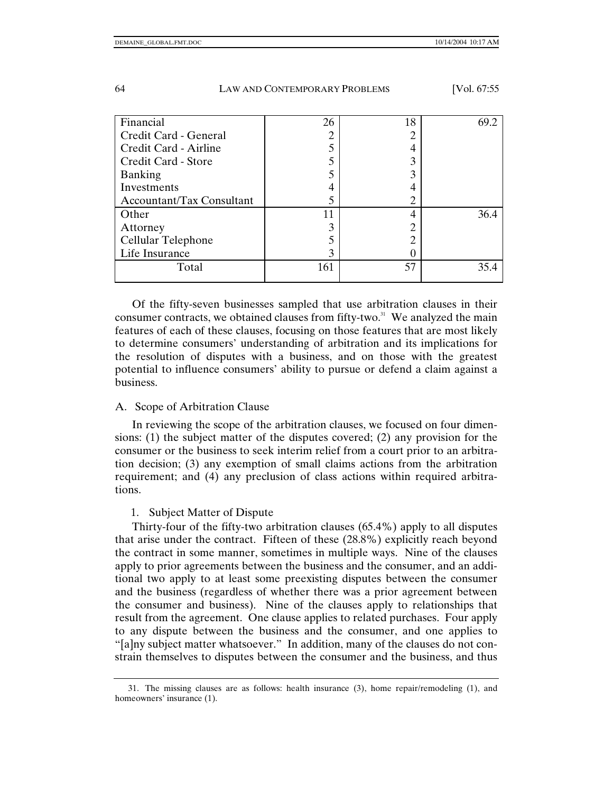| Financial                        | 26  | 18 | 69.2 |
|----------------------------------|-----|----|------|
| Credit Card - General            |     |    |      |
| Credit Card - Airline            |     |    |      |
| Credit Card - Store              |     |    |      |
| <b>Banking</b>                   |     |    |      |
| Investments                      |     |    |      |
| <b>Accountant/Tax Consultant</b> |     |    |      |
| Other                            | 11  |    | 36.4 |
| Attorney                         |     |    |      |
| Cellular Telephone               |     |    |      |
| Life Insurance                   | 3   |    |      |
| Total                            | 161 | 57 | 35.4 |
|                                  |     |    |      |

Of the fifty-seven businesses sampled that use arbitration clauses in their consumer contracts, we obtained clauses from fifty-two. $31$  We analyzed the main features of each of these clauses, focusing on those features that are most likely to determine consumers' understanding of arbitration and its implications for the resolution of disputes with a business, and on those with the greatest potential to influence consumers' ability to pursue or defend a claim against a business.

#### A. Scope of Arbitration Clause

In reviewing the scope of the arbitration clauses, we focused on four dimensions: (1) the subject matter of the disputes covered; (2) any provision for the consumer or the business to seek interim relief from a court prior to an arbitration decision; (3) any exemption of small claims actions from the arbitration requirement; and (4) any preclusion of class actions within required arbitrations.

#### 1. Subject Matter of Dispute

Thirty-four of the fifty-two arbitration clauses (65.4%) apply to all disputes that arise under the contract. Fifteen of these (28.8%) explicitly reach beyond the contract in some manner, sometimes in multiple ways. Nine of the clauses apply to prior agreements between the business and the consumer, and an additional two apply to at least some preexisting disputes between the consumer and the business (regardless of whether there was a prior agreement between the consumer and business). Nine of the clauses apply to relationships that result from the agreement. One clause applies to related purchases. Four apply to any dispute between the business and the consumer, and one applies to "[a]ny subject matter whatsoever." In addition, many of the clauses do not constrain themselves to disputes between the consumer and the business, and thus

 <sup>31.</sup> The missing clauses are as follows: health insurance (3), home repair/remodeling (1), and homeowners' insurance  $(1)$ .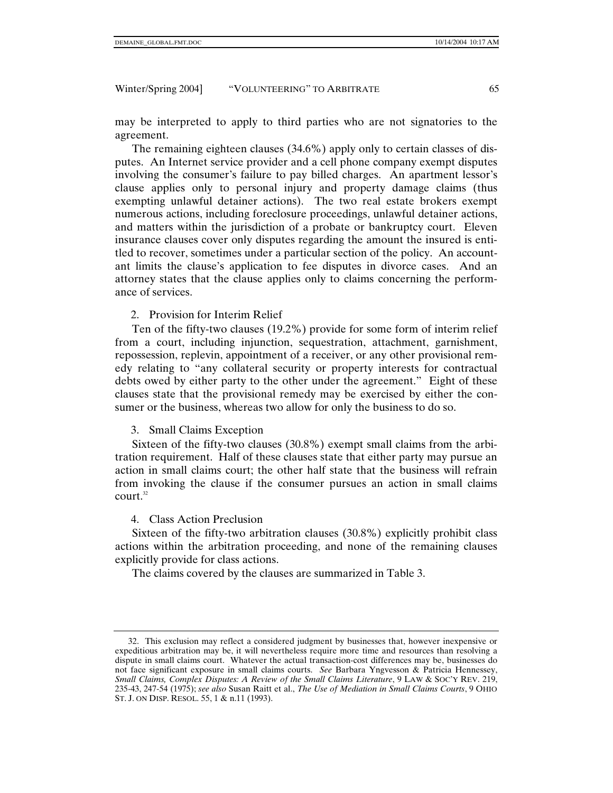may be interpreted to apply to third parties who are not signatories to the agreement.

The remaining eighteen clauses (34.6%) apply only to certain classes of disputes. An Internet service provider and a cell phone company exempt disputes involving the consumer's failure to pay billed charges. An apartment lessor's clause applies only to personal injury and property damage claims (thus exempting unlawful detainer actions). The two real estate brokers exempt numerous actions, including foreclosure proceedings, unlawful detainer actions, and matters within the jurisdiction of a probate or bankruptcy court. Eleven insurance clauses cover only disputes regarding the amount the insured is entitled to recover, sometimes under a particular section of the policy. An accountant limits the clause's application to fee disputes in divorce cases. And an attorney states that the clause applies only to claims concerning the performance of services.

2. Provision for Interim Relief

Ten of the fifty-two clauses (19.2%) provide for some form of interim relief from a court, including injunction, sequestration, attachment, garnishment, repossession, replevin, appointment of a receiver, or any other provisional remedy relating to "any collateral security or property interests for contractual debts owed by either party to the other under the agreement." Eight of these clauses state that the provisional remedy may be exercised by either the consumer or the business, whereas two allow for only the business to do so.

#### 3. Small Claims Exception

Sixteen of the fifty-two clauses (30.8%) exempt small claims from the arbitration requirement. Half of these clauses state that either party may pursue an action in small claims court; the other half state that the business will refrain from invoking the clause if the consumer pursues an action in small claims court.<sup>32</sup>

#### 4. Class Action Preclusion

Sixteen of the fifty-two arbitration clauses (30.8%) explicitly prohibit class actions within the arbitration proceeding, and none of the remaining clauses explicitly provide for class actions.

The claims covered by the clauses are summarized in Table 3.

 <sup>32.</sup> This exclusion may reflect a considered judgment by businesses that, however inexpensive or expeditious arbitration may be, it will nevertheless require more time and resources than resolving a dispute in small claims court. Whatever the actual transaction-cost differences may be, businesses do not face significant exposure in small claims courts. *See* Barbara Yngvesson & Patricia Hennessey, *Small Claims, Complex Disputes: A Review of the Small Claims Literature*, 9 LAW & SOC'Y REV. 219, 235-43, 247-54 (1975); *see also* Susan Raitt et al., *The Use of Mediation in Small Claims Courts*, 9 OHIO ST. J. ON DISP. RESOL. 55, 1 & n.11 (1993).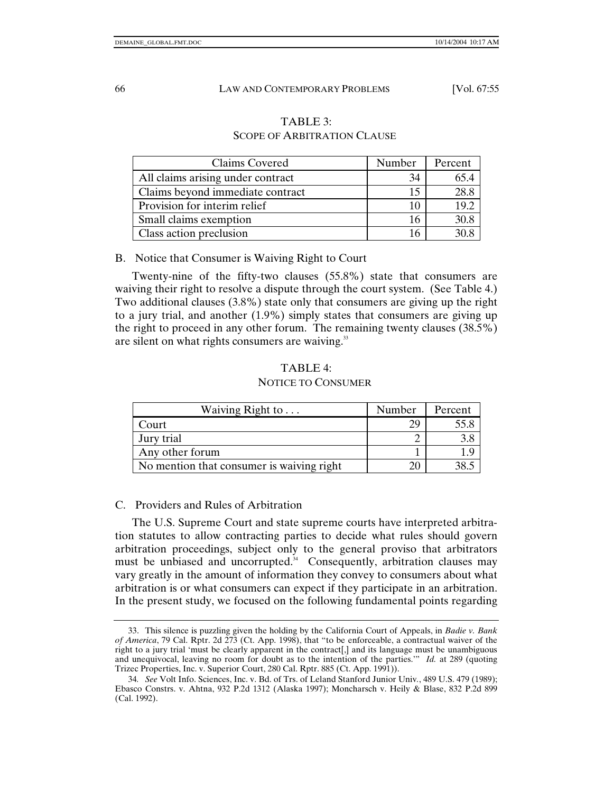## TABLE 3:

### SCOPE OF ARBITRATION CLAUSE

| Claims Covered                    | Number | Percent |
|-----------------------------------|--------|---------|
| All claims arising under contract | 34     |         |
| Claims beyond immediate contract  | 15     |         |
| Provision for interim relief      | 10     | 19.2    |
| Small claims exemption            | 16     | 30.8    |
| Class action preclusion           |        |         |

B. Notice that Consumer is Waiving Right to Court

Twenty-nine of the fifty-two clauses (55.8%) state that consumers are waiving their right to resolve a dispute through the court system. (See Table 4.) Two additional clauses (3.8%) state only that consumers are giving up the right to a jury trial, and another (1.9%) simply states that consumers are giving up the right to proceed in any other forum. The remaining twenty clauses (38.5%) are silent on what rights consumers are waiving. $33$ 

#### TABLE 4:

#### NOTICE TO CONSUMER

| Waiving Right to $\dots$                  | Number | Percent |
|-------------------------------------------|--------|---------|
| Court                                     |        | 55.8    |
| Jury trial                                |        | 3.8     |
| Any other forum                           |        |         |
| No mention that consumer is waiving right |        |         |

#### C. Providers and Rules of Arbitration

The U.S. Supreme Court and state supreme courts have interpreted arbitration statutes to allow contracting parties to decide what rules should govern arbitration proceedings, subject only to the general proviso that arbitrators must be unbiased and uncorrupted.<sup>34</sup> Consequently, arbitration clauses may vary greatly in the amount of information they convey to consumers about what arbitration is or what consumers can expect if they participate in an arbitration. In the present study, we focused on the following fundamental points regarding

 <sup>33.</sup> This silence is puzzling given the holding by the California Court of Appeals, in *Badie v. Bank of America*, 79 Cal. Rptr. 2d 273 (Ct. App. 1998), that "to be enforceable, a contractual waiver of the right to a jury trial 'must be clearly apparent in the contract[,] and its language must be unambiguous and unequivocal, leaving no room for doubt as to the intention of the parties.'" *Id.* at 289 (quoting Trizec Properties, Inc. v. Superior Court, 280 Cal. Rptr. 885 (Ct. App. 1991)).

<sup>34</sup>*. See* Volt Info. Sciences, Inc. v. Bd. of Trs. of Leland Stanford Junior Univ*.*, 489 U.S. 479 (1989); Ebasco Constrs. v. Ahtna, 932 P.2d 1312 (Alaska 1997); Moncharsch v. Heily & Blase, 832 P.2d 899 (Cal. 1992).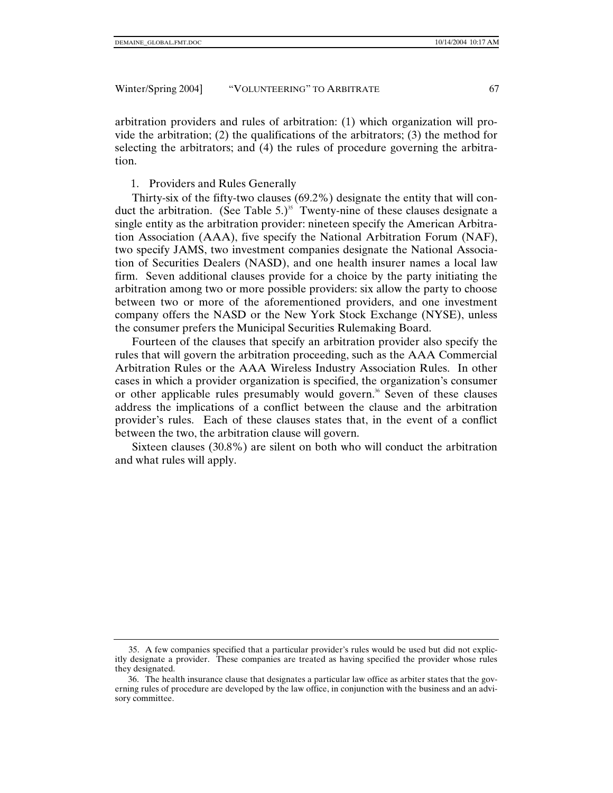arbitration providers and rules of arbitration: (1) which organization will provide the arbitration; (2) the qualifications of the arbitrators; (3) the method for selecting the arbitrators; and (4) the rules of procedure governing the arbitration.

#### 1. Providers and Rules Generally

Thirty-six of the fifty-two clauses (69.2%) designate the entity that will conduct the arbitration. (See Table 5.)<sup>35</sup> Twenty-nine of these clauses designate a single entity as the arbitration provider: nineteen specify the American Arbitration Association (AAA), five specify the National Arbitration Forum (NAF), two specify JAMS, two investment companies designate the National Association of Securities Dealers (NASD), and one health insurer names a local law firm. Seven additional clauses provide for a choice by the party initiating the arbitration among two or more possible providers: six allow the party to choose between two or more of the aforementioned providers, and one investment company offers the NASD or the New York Stock Exchange (NYSE), unless the consumer prefers the Municipal Securities Rulemaking Board.

Fourteen of the clauses that specify an arbitration provider also specify the rules that will govern the arbitration proceeding, such as the AAA Commercial Arbitration Rules or the AAA Wireless Industry Association Rules. In other cases in which a provider organization is specified, the organization's consumer or other applicable rules presumably would govern.<sup>36</sup> Seven of these clauses address the implications of a conflict between the clause and the arbitration provider's rules. Each of these clauses states that, in the event of a conflict between the two, the arbitration clause will govern.

Sixteen clauses (30.8%) are silent on both who will conduct the arbitration and what rules will apply.

 <sup>35.</sup> A few companies specified that a particular provider's rules would be used but did not explicitly designate a provider. These companies are treated as having specified the provider whose rules they designated.

 <sup>36.</sup> The health insurance clause that designates a particular law office as arbiter states that the governing rules of procedure are developed by the law office, in conjunction with the business and an advisory committee.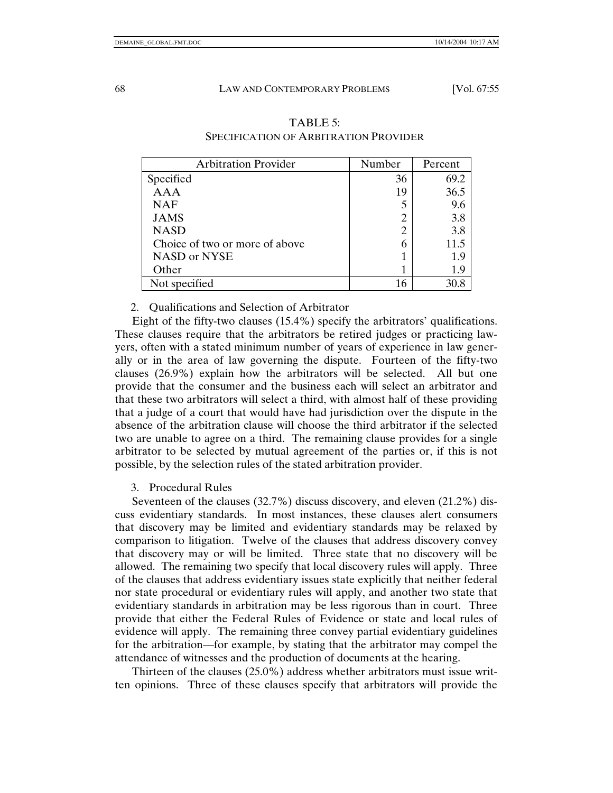| <b>Arbitration Provider</b>    | Number | Percent |
|--------------------------------|--------|---------|
| Specified                      | 36     | 69.2    |
| <b>AAA</b>                     | 19     | 36.5    |
| <b>NAF</b>                     |        | 9.6     |
| <b>JAMS</b>                    |        | 3.8     |
| <b>NASD</b>                    | 2      | 3.8     |
| Choice of two or more of above |        | 11.5    |
| NASD or NYSE                   |        | 1.9     |
| Other                          |        | 1.9     |
| Not specified                  | 16     | 30.8    |

### TABLE 5: SPECIFICATION OF ARBITRATION PROVIDER

#### 2. Qualifications and Selection of Arbitrator

Eight of the fifty-two clauses (15.4%) specify the arbitrators' qualifications. These clauses require that the arbitrators be retired judges or practicing lawyers, often with a stated minimum number of years of experience in law generally or in the area of law governing the dispute. Fourteen of the fifty-two clauses (26.9%) explain how the arbitrators will be selected. All but one provide that the consumer and the business each will select an arbitrator and that these two arbitrators will select a third, with almost half of these providing that a judge of a court that would have had jurisdiction over the dispute in the absence of the arbitration clause will choose the third arbitrator if the selected two are unable to agree on a third. The remaining clause provides for a single arbitrator to be selected by mutual agreement of the parties or, if this is not possible, by the selection rules of the stated arbitration provider.

#### 3. Procedural Rules

Seventeen of the clauses (32.7%) discuss discovery, and eleven (21.2%) discuss evidentiary standards. In most instances, these clauses alert consumers that discovery may be limited and evidentiary standards may be relaxed by comparison to litigation. Twelve of the clauses that address discovery convey that discovery may or will be limited. Three state that no discovery will be allowed. The remaining two specify that local discovery rules will apply. Three of the clauses that address evidentiary issues state explicitly that neither federal nor state procedural or evidentiary rules will apply, and another two state that evidentiary standards in arbitration may be less rigorous than in court. Three provide that either the Federal Rules of Evidence or state and local rules of evidence will apply. The remaining three convey partial evidentiary guidelines for the arbitration—for example, by stating that the arbitrator may compel the attendance of witnesses and the production of documents at the hearing.

Thirteen of the clauses (25.0%) address whether arbitrators must issue written opinions. Three of these clauses specify that arbitrators will provide the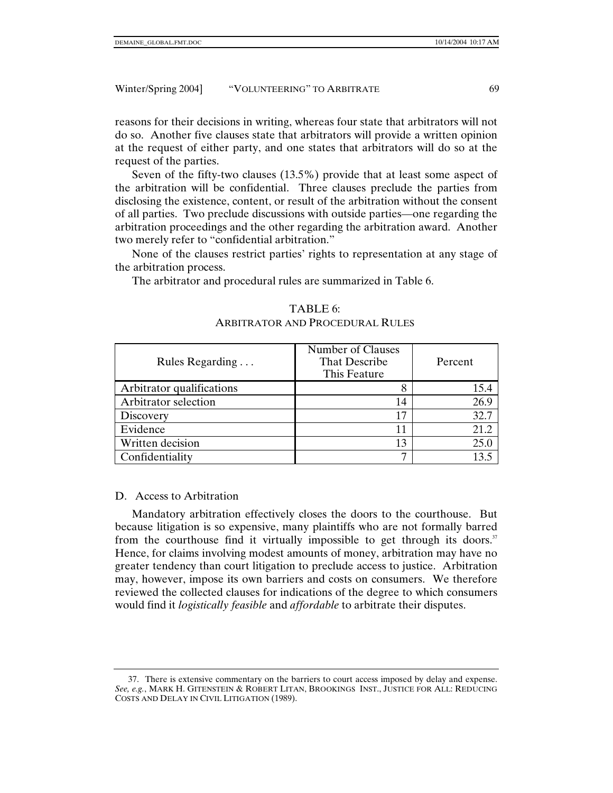reasons for their decisions in writing, whereas four state that arbitrators will not do so. Another five clauses state that arbitrators will provide a written opinion at the request of either party, and one states that arbitrators will do so at the request of the parties.

Seven of the fifty-two clauses (13.5%) provide that at least some aspect of the arbitration will be confidential. Three clauses preclude the parties from disclosing the existence, content, or result of the arbitration without the consent of all parties. Two preclude discussions with outside parties—one regarding the arbitration proceedings and the other regarding the arbitration award. Another two merely refer to "confidential arbitration."

None of the clauses restrict parties' rights to representation at any stage of the arbitration process.

The arbitrator and procedural rules are summarized in Table 6.

| Rules Regarding           | Number of Clauses<br>That Describe<br>This Feature | Percent |
|---------------------------|----------------------------------------------------|---------|
| Arbitrator qualifications |                                                    |         |
| Arbitrator selection      | 14                                                 | 26.9    |
| Discovery                 | 17                                                 | 32.7    |
| Evidence                  | 11                                                 | 21.2    |
| Written decision          | 13                                                 | 25.0    |
| Confidentiality           | −                                                  |         |

## TABLE 6: ARBITRATOR AND PROCEDURAL RULES

#### D. Access to Arbitration

Mandatory arbitration effectively closes the doors to the courthouse. But because litigation is so expensive, many plaintiffs who are not formally barred from the courthouse find it virtually impossible to get through its doors. $37$ Hence, for claims involving modest amounts of money, arbitration may have no greater tendency than court litigation to preclude access to justice. Arbitration may, however, impose its own barriers and costs on consumers. We therefore reviewed the collected clauses for indications of the degree to which consumers would find it *logistically feasible* and *affordable* to arbitrate their disputes.

 <sup>37.</sup> There is extensive commentary on the barriers to court access imposed by delay and expense. *See, e.g.*, MARK H. GITENSTEIN & ROBERT LITAN, BROOKINGS INST., JUSTICE FOR ALL: REDUCING COSTS AND DELAY IN CIVIL LITIGATION (1989).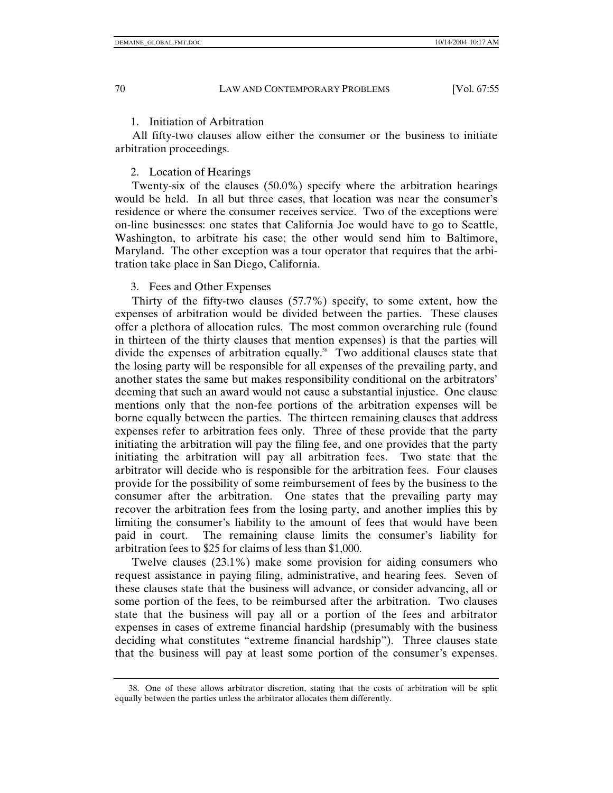#### 1. Initiation of Arbitration

All fifty-two clauses allow either the consumer or the business to initiate arbitration proceedings.

#### 2. Location of Hearings

Twenty-six of the clauses (50.0%) specify where the arbitration hearings would be held. In all but three cases, that location was near the consumer's residence or where the consumer receives service. Two of the exceptions were on-line businesses: one states that California Joe would have to go to Seattle, Washington, to arbitrate his case; the other would send him to Baltimore, Maryland. The other exception was a tour operator that requires that the arbitration take place in San Diego, California.

#### 3. Fees and Other Expenses

Thirty of the fifty-two clauses (57.7%) specify, to some extent, how the expenses of arbitration would be divided between the parties. These clauses offer a plethora of allocation rules. The most common overarching rule (found in thirteen of the thirty clauses that mention expenses) is that the parties will divide the expenses of arbitration equally.<sup>38</sup> Two additional clauses state that the losing party will be responsible for all expenses of the prevailing party, and another states the same but makes responsibility conditional on the arbitrators' deeming that such an award would not cause a substantial injustice. One clause mentions only that the non-fee portions of the arbitration expenses will be borne equally between the parties. The thirteen remaining clauses that address expenses refer to arbitration fees only. Three of these provide that the party initiating the arbitration will pay the filing fee, and one provides that the party initiating the arbitration will pay all arbitration fees. Two state that the arbitrator will decide who is responsible for the arbitration fees. Four clauses provide for the possibility of some reimbursement of fees by the business to the consumer after the arbitration. One states that the prevailing party may recover the arbitration fees from the losing party, and another implies this by limiting the consumer's liability to the amount of fees that would have been paid in court. The remaining clause limits the consumer's liability for arbitration fees to \$25 for claims of less than \$1,000.

Twelve clauses (23.1%) make some provision for aiding consumers who request assistance in paying filing, administrative, and hearing fees. Seven of these clauses state that the business will advance, or consider advancing, all or some portion of the fees, to be reimbursed after the arbitration. Two clauses state that the business will pay all or a portion of the fees and arbitrator expenses in cases of extreme financial hardship (presumably with the business deciding what constitutes "extreme financial hardship"). Three clauses state that the business will pay at least some portion of the consumer's expenses.

 <sup>38.</sup> One of these allows arbitrator discretion, stating that the costs of arbitration will be split equally between the parties unless the arbitrator allocates them differently.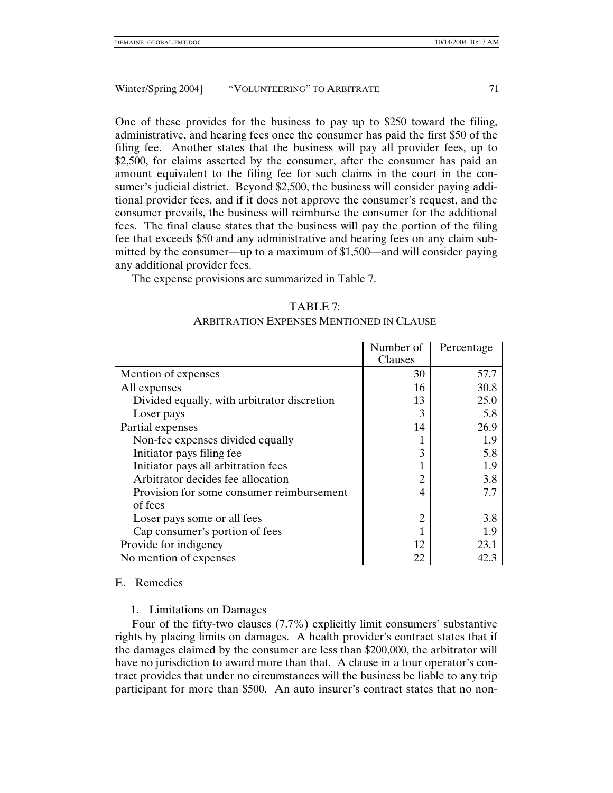One of these provides for the business to pay up to \$250 toward the filing, administrative, and hearing fees once the consumer has paid the first \$50 of the filing fee. Another states that the business will pay all provider fees, up to \$2,500, for claims asserted by the consumer, after the consumer has paid an amount equivalent to the filing fee for such claims in the court in the consumer's judicial district. Beyond \$2,500, the business will consider paying additional provider fees, and if it does not approve the consumer's request, and the consumer prevails, the business will reimburse the consumer for the additional fees. The final clause states that the business will pay the portion of the filing fee that exceeds \$50 and any administrative and hearing fees on any claim submitted by the consumer—up to a maximum of \$1,500—and will consider paying any additional provider fees.

The expense provisions are summarized in Table 7.

#### TABLE 7:

#### ARBITRATION EXPENSES MENTIONED IN CLAUSE

|                                             | Number of | Percentage |
|---------------------------------------------|-----------|------------|
|                                             | Clauses   |            |
| Mention of expenses                         | 30        | 57.7       |
| All expenses                                | 16        | 30.8       |
| Divided equally, with arbitrator discretion | 13        | 25.0       |
| Loser pays                                  | 3         | 5.8        |
| Partial expenses                            | 14        | 26.9       |
| Non-fee expenses divided equally            |           | 1.9        |
| Initiator pays filing fee                   |           | 5.8        |
| Initiator pays all arbitration fees         |           | 1.9        |
| Arbitrator decides fee allocation           |           | 3.8        |
| Provision for some consumer reimbursement   |           | 7.7        |
| of fees                                     |           |            |
| Loser pays some or all fees                 |           | 3.8        |
| Cap consumer's portion of fees              |           | 1.9        |
| Provide for indigency                       | 12        | 23.1       |
| No mention of expenses                      | 22        | 42.3       |

#### E. Remedies

#### 1. Limitations on Damages

Four of the fifty-two clauses (7.7%) explicitly limit consumers' substantive rights by placing limits on damages. A health provider's contract states that if the damages claimed by the consumer are less than \$200,000, the arbitrator will have no jurisdiction to award more than that. A clause in a tour operator's contract provides that under no circumstances will the business be liable to any trip participant for more than \$500. An auto insurer's contract states that no non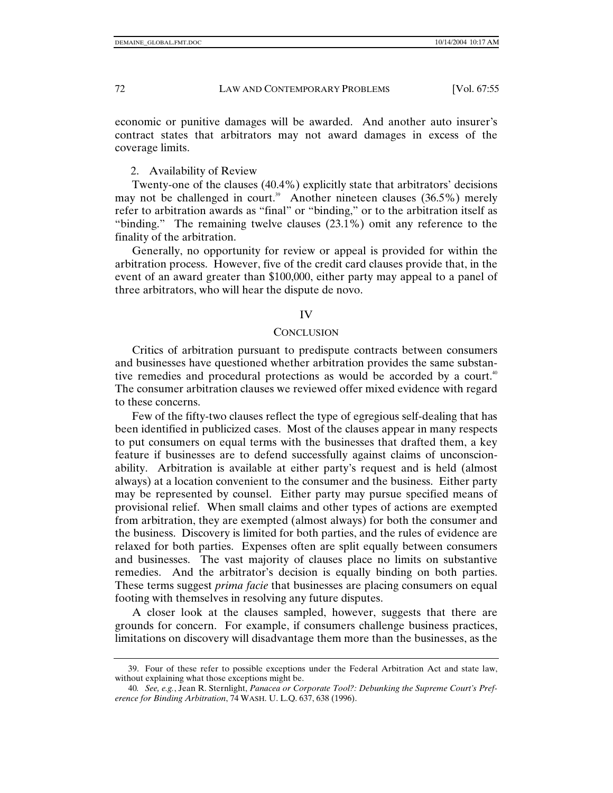economic or punitive damages will be awarded. And another auto insurer's contract states that arbitrators may not award damages in excess of the coverage limits.

#### 2. Availability of Review

Twenty-one of the clauses (40.4%) explicitly state that arbitrators' decisions may not be challenged in court.<sup>39</sup> Another nineteen clauses  $(36.5\%)$  merely refer to arbitration awards as "final" or "binding," or to the arbitration itself as "binding." The remaining twelve clauses (23.1%) omit any reference to the finality of the arbitration.

Generally, no opportunity for review or appeal is provided for within the arbitration process. However, five of the credit card clauses provide that, in the event of an award greater than \$100,000, either party may appeal to a panel of three arbitrators, who will hear the dispute de novo.

#### IV

#### **CONCLUSION**

Critics of arbitration pursuant to predispute contracts between consumers and businesses have questioned whether arbitration provides the same substantive remedies and procedural protections as would be accorded by a court.<sup>40</sup> The consumer arbitration clauses we reviewed offer mixed evidence with regard to these concerns.

Few of the fifty-two clauses reflect the type of egregious self-dealing that has been identified in publicized cases. Most of the clauses appear in many respects to put consumers on equal terms with the businesses that drafted them, a key feature if businesses are to defend successfully against claims of unconscionability. Arbitration is available at either party's request and is held (almost always) at a location convenient to the consumer and the business. Either party may be represented by counsel. Either party may pursue specified means of provisional relief. When small claims and other types of actions are exempted from arbitration, they are exempted (almost always) for both the consumer and the business. Discovery is limited for both parties, and the rules of evidence are relaxed for both parties. Expenses often are split equally between consumers and businesses. The vast majority of clauses place no limits on substantive remedies. And the arbitrator's decision is equally binding on both parties. These terms suggest *prima facie* that businesses are placing consumers on equal footing with themselves in resolving any future disputes.

A closer look at the clauses sampled, however, suggests that there are grounds for concern. For example, if consumers challenge business practices, limitations on discovery will disadvantage them more than the businesses, as the

 <sup>39.</sup> Four of these refer to possible exceptions under the Federal Arbitration Act and state law, without explaining what those exceptions might be.

<sup>40</sup>*. See, e.g.*, Jean R. Sternlight, *Panacea or Corporate Tool?: Debunking the Supreme Court's Preference for Binding Arbitration*, 74 WASH. U. L.Q. 637, 638 (1996).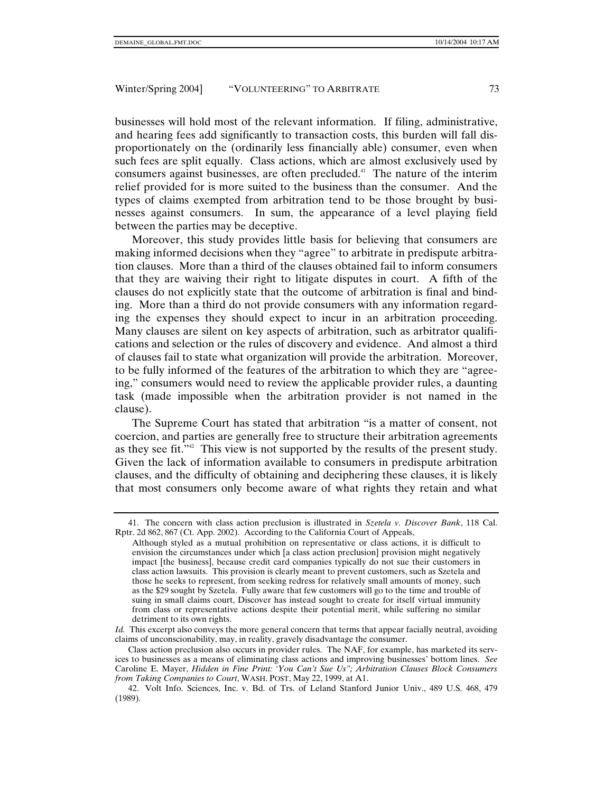businesses will hold most of the relevant information. If filing, administrative, and hearing fees add significantly to transaction costs, this burden will fall disproportionately on the (ordinarily less financially able) consumer, even when such fees are split equally. Class actions, which are almost exclusively used by consumers against businesses, are often precluded.41 The nature of the interim relief provided for is more suited to the business than the consumer. And the types of claims exempted from arbitration tend to be those brought by businesses against consumers. In sum, the appearance of a level playing field between the parties may be deceptive.

Moreover, this study provides little basis for believing that consumers are making informed decisions when they "agree" to arbitrate in predispute arbitration clauses. More than a third of the clauses obtained fail to inform consumers that they are waiving their right to litigate disputes in court. A fifth of the clauses do not explicitly state that the outcome of arbitration is final and binding. More than a third do not provide consumers with any information regarding the expenses they should expect to incur in an arbitration proceeding. Many clauses are silent on key aspects of arbitration, such as arbitrator qualifications and selection or the rules of discovery and evidence. And almost a third of clauses fail to state what organization will provide the arbitration. Moreover, to be fully informed of the features of the arbitration to which they are "agreeing," consumers would need to review the applicable provider rules, a daunting task (made impossible when the arbitration provider is not named in the clause).

The Supreme Court has stated that arbitration "is a matter of consent, not coercion, and parties are generally free to structure their arbitration agreements as they see fit."42 This view is not supported by the results of the present study. Given the lack of information available to consumers in predispute arbitration clauses, and the difficulty of obtaining and deciphering these clauses, it is likely that most consumers only become aware of what rights they retain and what

 <sup>41.</sup> The concern with class action preclusion is illustrated in *Szetela v. Discover Bank*, 118 Cal. Rptr. 2d 862, 867 (Ct. App. 2002). According to the California Court of Appeals,

Although styled as a mutual prohibition on representative or class actions, it is difficult to envision the circumstances under which [a class action preclusion] provision might negatively impact [the business], because credit card companies typically do not sue their customers in class action lawsuits. This provision is clearly meant to prevent customers, such as Szetela and those he seeks to represent, from seeking redress for relatively small amounts of money, such as the \$29 sought by Szetela. Fully aware that few customers will go to the time and trouble of suing in small claims court, Discover has instead sought to create for itself virtual immunity from class or representative actions despite their potential merit, while suffering no similar detriment to its own rights.

*Id.* This excerpt also conveys the more general concern that terms that appear facially neutral, avoiding claims of unconscionability, may, in reality, gravely disadvantage the consumer.

Class action preclusion also occurs in provider rules. The NAF, for example, has marketed its services to businesses as a means of eliminating class actions and improving businesses' bottom lines. *See* Caroline E. Mayer, *Hidden in Fine Print: 'You Can't Sue Us"; Arbitration Clauses Block Consumers from Taking Companies to Court*, WASH. POST, May 22, 1999, at A1.

 <sup>42.</sup> Volt Info. Sciences, Inc. v. Bd. of Trs. of Leland Stanford Junior Univ., 489 U.S. 468, 479 (1989).